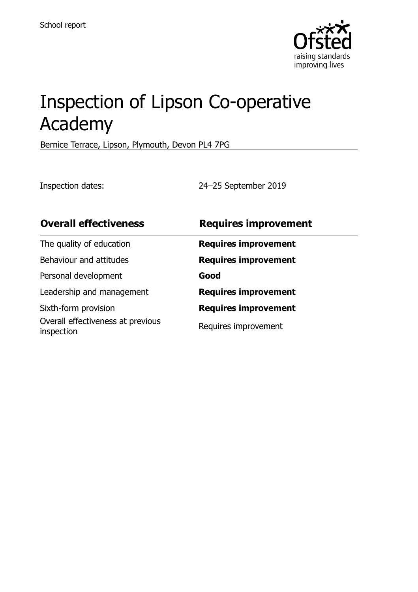

# Inspection of Lipson Co-operative Academy

Bernice Terrace, Lipson, Plymouth, Devon PL4 7PG

Inspection dates: 24–25 September 2019

| <b>Overall effectiveness</b>                    | <b>Requires improvement</b> |
|-------------------------------------------------|-----------------------------|
| The quality of education                        | <b>Requires improvement</b> |
| Behaviour and attitudes                         | <b>Requires improvement</b> |
| Personal development                            | Good                        |
| Leadership and management                       | <b>Requires improvement</b> |
| Sixth-form provision                            | <b>Requires improvement</b> |
| Overall effectiveness at previous<br>inspection | Requires improvement        |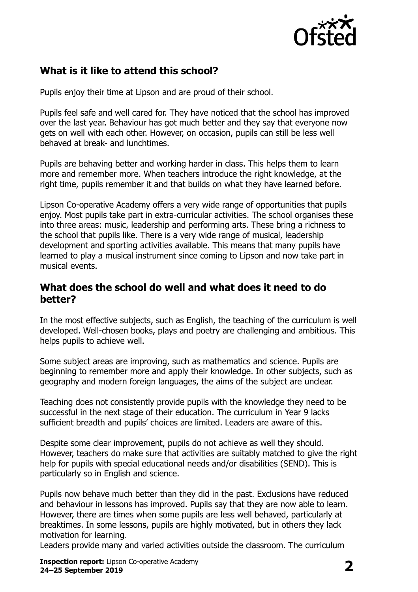

# **What is it like to attend this school?**

Pupils enjoy their time at Lipson and are proud of their school.

Pupils feel safe and well cared for. They have noticed that the school has improved over the last year. Behaviour has got much better and they say that everyone now gets on well with each other. However, on occasion, pupils can still be less well behaved at break- and lunchtimes.

Pupils are behaving better and working harder in class. This helps them to learn more and remember more. When teachers introduce the right knowledge, at the right time, pupils remember it and that builds on what they have learned before.

Lipson Co-operative Academy offers a very wide range of opportunities that pupils enjoy. Most pupils take part in extra-curricular activities. The school organises these into three areas: music, leadership and performing arts. These bring a richness to the school that pupils like. There is a very wide range of musical, leadership development and sporting activities available. This means that many pupils have learned to play a musical instrument since coming to Lipson and now take part in musical events.

#### **What does the school do well and what does it need to do better?**

In the most effective subjects, such as English, the teaching of the curriculum is well developed. Well-chosen books, plays and poetry are challenging and ambitious. This helps pupils to achieve well.

Some subject areas are improving, such as mathematics and science. Pupils are beginning to remember more and apply their knowledge. In other subjects, such as geography and modern foreign languages, the aims of the subject are unclear.

Teaching does not consistently provide pupils with the knowledge they need to be successful in the next stage of their education. The curriculum in Year 9 lacks sufficient breadth and pupils' choices are limited. Leaders are aware of this.

Despite some clear improvement, pupils do not achieve as well they should. However, teachers do make sure that activities are suitably matched to give the right help for pupils with special educational needs and/or disabilities (SEND). This is particularly so in English and science.

Pupils now behave much better than they did in the past. Exclusions have reduced and behaviour in lessons has improved. Pupils say that they are now able to learn. However, there are times when some pupils are less well behaved, particularly at breaktimes. In some lessons, pupils are highly motivated, but in others they lack motivation for learning.

Leaders provide many and varied activities outside the classroom. The curriculum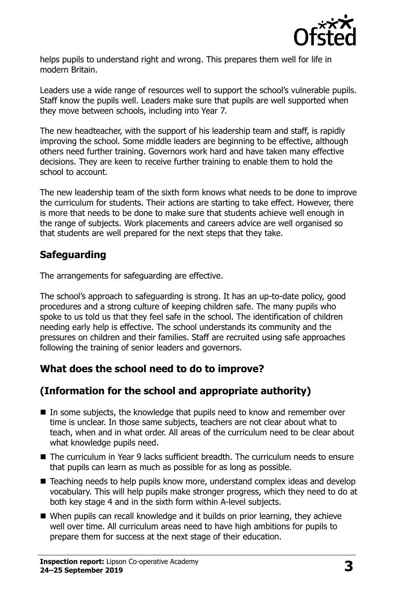

helps pupils to understand right and wrong. This prepares them well for life in modern Britain.

Leaders use a wide range of resources well to support the school's vulnerable pupils. Staff know the pupils well. Leaders make sure that pupils are well supported when they move between schools, including into Year 7.

The new headteacher, with the support of his leadership team and staff, is rapidly improving the school. Some middle leaders are beginning to be effective, although others need further training. Governors work hard and have taken many effective decisions. They are keen to receive further training to enable them to hold the school to account.

The new leadership team of the sixth form knows what needs to be done to improve the curriculum for students. Their actions are starting to take effect. However, there is more that needs to be done to make sure that students achieve well enough in the range of subjects. Work placements and careers advice are well organised so that students are well prepared for the next steps that they take.

# **Safeguarding**

The arrangements for safeguarding are effective.

The school's approach to safeguarding is strong. It has an up-to-date policy, good procedures and a strong culture of keeping children safe. The many pupils who spoke to us told us that they feel safe in the school. The identification of children needing early help is effective. The school understands its community and the pressures on children and their families. Staff are recruited using safe approaches following the training of senior leaders and governors.

# **What does the school need to do to improve?**

# **(Information for the school and appropriate authority)**

- In some subjects, the knowledge that pupils need to know and remember over time is unclear. In those same subjects, teachers are not clear about what to teach, when and in what order. All areas of the curriculum need to be clear about what knowledge pupils need.
- The curriculum in Year 9 lacks sufficient breadth. The curriculum needs to ensure that pupils can learn as much as possible for as long as possible.
- Teaching needs to help pupils know more, understand complex ideas and develop vocabulary. This will help pupils make stronger progress, which they need to do at both key stage 4 and in the sixth form within A-level subjects.
- When pupils can recall knowledge and it builds on prior learning, they achieve well over time. All curriculum areas need to have high ambitions for pupils to prepare them for success at the next stage of their education.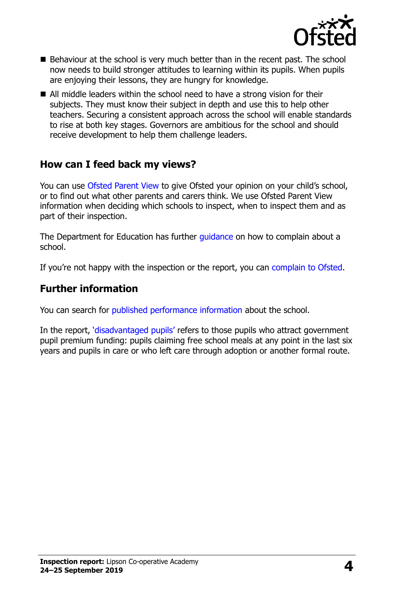

- Behaviour at the school is very much better than in the recent past. The school now needs to build stronger attitudes to learning within its pupils. When pupils are enjoying their lessons, they are hungry for knowledge.
- All middle leaders within the school need to have a strong vision for their subjects. They must know their subject in depth and use this to help other teachers. Securing a consistent approach across the school will enable standards to rise at both key stages. Governors are ambitious for the school and should receive development to help them challenge leaders.

#### **How can I feed back my views?**

You can use [Ofsted Parent View](http://parentview.ofsted.gov.uk/) to give Ofsted your opinion on your child's school, or to find out what other parents and carers think. We use Ofsted Parent View information when deciding which schools to inspect, when to inspect them and as part of their inspection.

The Department for Education has further quidance on how to complain about a school.

If you're not happy with the inspection or the report, you can [complain to Ofsted.](http://www.gov.uk/complain-ofsted-report)

### **Further information**

You can search for [published performance information](http://www.compare-school-performance.service.gov.uk/) about the school.

In the report, '[disadvantaged pupils](http://www.gov.uk/guidance/pupil-premium-information-for-schools-and-alternative-provision-settings)' refers to those pupils who attract government pupil premium funding: pupils claiming free school meals at any point in the last six years and pupils in care or who left care through adoption or another formal route.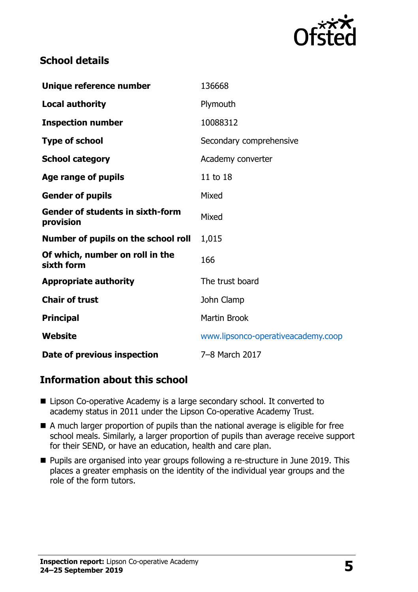

### **School details**

| Unique reference number                              | 136668                             |  |
|------------------------------------------------------|------------------------------------|--|
| <b>Local authority</b>                               | Plymouth                           |  |
| <b>Inspection number</b>                             | 10088312                           |  |
| <b>Type of school</b>                                | Secondary comprehensive            |  |
| <b>School category</b>                               | Academy converter                  |  |
| Age range of pupils                                  | 11 to 18                           |  |
| <b>Gender of pupils</b>                              | Mixed                              |  |
| <b>Gender of students in sixth-form</b><br>provision | Mixed                              |  |
| Number of pupils on the school roll                  | 1,015                              |  |
| Of which, number on roll in the<br>sixth form        | 166                                |  |
| <b>Appropriate authority</b>                         | The trust board                    |  |
| <b>Chair of trust</b>                                | John Clamp                         |  |
| <b>Principal</b>                                     | <b>Martin Brook</b>                |  |
| Website                                              | www.lipsonco-operativeacademy.coop |  |
| Date of previous inspection                          | 7-8 March 2017                     |  |

#### **Information about this school**

- Lipson Co-operative Academy is a large secondary school. It converted to academy status in 2011 under the Lipson Co-operative Academy Trust.
- A much larger proportion of pupils than the national average is eligible for free school meals. Similarly, a larger proportion of pupils than average receive support for their SEND, or have an education, health and care plan.
- **Pupils are organised into year groups following a re-structure in June 2019. This** places a greater emphasis on the identity of the individual year groups and the role of the form tutors.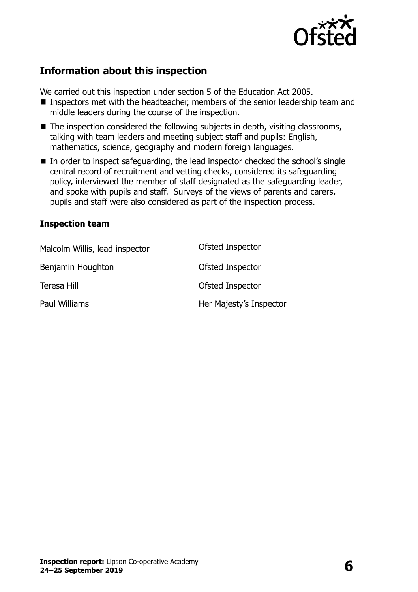

# **Information about this inspection**

We carried out this inspection under section 5 of the Education Act 2005.

- Inspectors met with the headteacher, members of the senior leadership team and middle leaders during the course of the inspection.
- $\blacksquare$  The inspection considered the following subjects in depth, visiting classrooms, talking with team leaders and meeting subject staff and pupils: English, mathematics, science, geography and modern foreign languages.
- In order to inspect safeguarding, the lead inspector checked the school's single central record of recruitment and vetting checks, considered its safeguarding policy, interviewed the member of staff designated as the safeguarding leader, and spoke with pupils and staff. Surveys of the views of parents and carers, pupils and staff were also considered as part of the inspection process.

#### **Inspection team**

| Malcolm Willis, lead inspector | Ofsted Inspector        |
|--------------------------------|-------------------------|
| Benjamin Houghton              | Ofsted Inspector        |
| Teresa Hill                    | Ofsted Inspector        |
| Paul Williams                  | Her Majesty's Inspector |